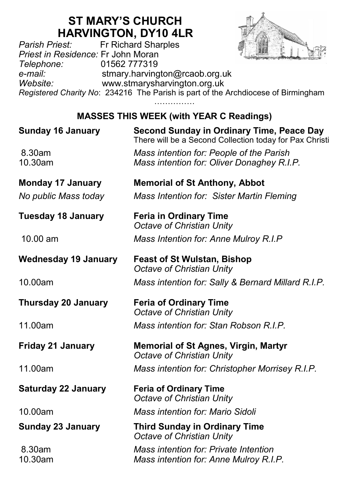# **ST MARY'S CHURCH HARVINGTON, DY10 4LR**<br>Fr Richard Sharples



*Parish Priest:* Fr Richard Sharples *Priest in Residence:* Fr John Moran *Telephone:* 01562 777319 *e-mail:* stmary.harvington@rcaob.org.uk *Website:* www.stmarysharvington.org.uk *Registered Charity No*: 234216 The Parish is part of the Archdiocese of Birmingham

……………

## **MASSES THIS WEEK (with YEAR C Readings)**

| <b>Sunday 16 January</b>    | Second Sunday in Ordinary Time, Peace Day<br>There will be a Second Collection today for Pax Christi |
|-----------------------------|------------------------------------------------------------------------------------------------------|
| 8.30am<br>10.30am           | Mass intention for: People of the Parish<br>Mass intention for: Oliver Donaghey R.I.P.               |
| <b>Monday 17 January</b>    | <b>Memorial of St Anthony, Abbot</b>                                                                 |
| No public Mass today        | Mass Intention for: Sister Martin Fleming                                                            |
| <b>Tuesday 18 January</b>   | <b>Feria in Ordinary Time</b><br>Octave of Christian Unity                                           |
| 10.00 am                    | Mass Intention for: Anne Mulroy R.I.P                                                                |
| <b>Wednesday 19 January</b> | <b>Feast of St Wulstan, Bishop</b><br>Octave of Christian Unity                                      |
| 10.00am                     | Mass intention for: Sally & Bernard Millard R.I.P.                                                   |
|                             |                                                                                                      |
| <b>Thursday 20 January</b>  | <b>Feria of Ordinary Time</b><br>Octave of Christian Unity                                           |
| 11.00am                     | Mass intention for: Stan Robson R.I.P.                                                               |
| <b>Friday 21 January</b>    | <b>Memorial of St Agnes, Virgin, Martyr</b><br>Octave of Christian Unity                             |
| 11.00am                     | Mass intention for: Christopher Morrisey R.I.P.                                                      |
| <b>Saturday 22 January</b>  | <b>Feria of Ordinary Time</b><br>Octave of Christian Unity                                           |
| 10.00am                     | Mass intention for: Mario Sidoli                                                                     |
| <b>Sunday 23 January</b>    | <b>Third Sunday in Ordinary Time</b><br>Octave of Christian Unity                                    |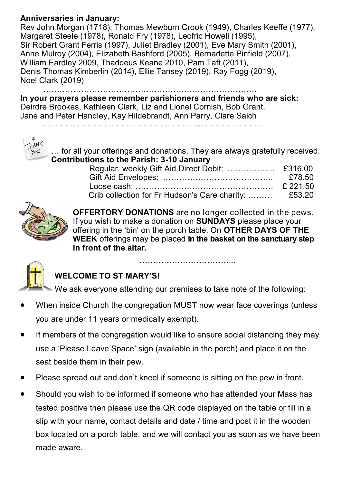#### **Anniversaries in January:**

Rev John Morgan (1718), Thomas Mewburn Crook (1949), Charles Keeffe (1977), Margaret Steele (1978), Ronald Fry (1978), Leofric Howell (1995), Sir Robert Grant Ferris (1997), Juliet Bradley (2001), Eve Mary Smith (2001), Anne Mulroy (2004), Elizabeth Bashford (2005), Bernadette Pinfield (2007), William Eardley 2009, Thaddeus Keane 2010, Pam Taft (2011), Denis Thomas Kimberlin (2014), Ellie Tansey (2019), Ray Fogg (2019), Noel Clark (2019)

…………………………………………………………………….

**In your prayers please remember parishioners and friends who are sick:**  Deirdre Brookes, Kathleen Clark, Liz and Lionel Cornish, Bob Grant, Jane and Peter Handley, Kay Hildebrandt, Ann Parry, Clare Saich

………………………………………………………..……………………..



… for all your offerings and donations. They are always gratefully received. **Contributions to the Parish: 3-10 January**

| Crib collection for Fr Hudson's Care charity:  £53.20 |  |
|-------------------------------------------------------|--|



**OFFERTORY DONATIONS** are no longer collected in the pews. If you wish to make a donation on **SUNDAYS** please place your offering in the 'bin' on the porch table. On **OTHER DAYS OF THE WEEK** offerings may be placed **in the basket on the sanctuary step in front of the altar.** 



## **WELCOME TO ST MARY'S!**

We ask everyone attending our premises to take note of the following:

……………………………………………

- When inside Church the congregation MUST now wear face coverings (unless you are under 11 years or medically exempt).
- If members of the congregation would like to ensure social distancing they may use a 'Please Leave Space' sign (available in the porch) and place it on the seat beside them in their pew.
- Please spread out and don't kneel if someone is sitting on the pew in front.
- Should you wish to be informed if someone who has attended your Mass has tested positive then please use the QR code displayed on the table or fill in a slip with your name, contact details and date / time and post it in the wooden box located on a porch table, and we will contact you as soon as we have been made aware.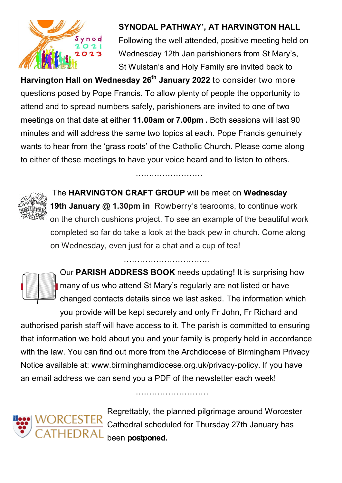

#### **SYNODAL PATHWAY', AT HARVINGTON HALL**

Following the well attended, positive meeting held on Wednesday 12th Jan parishioners from St Mary's, St Wulstan's and Holy Family are invited back to

**Harvington Hall on Wednesday 26th January 2022** to consider two more questions posed by Pope Francis. To allow plenty of people the opportunity to attend and to spread numbers safely, parishioners are invited to one of two meetings on that date at either **11.00am or 7.00pm .** Both sessions will last 90 minutes and will address the same two topics at each. Pope Francis genuinely wants to hear from the 'grass roots' of the Catholic Church. Please come along to either of these meetings to have your voice heard and to listen to others.



The **HARVINGTON CRAFT GROUP** will be meet on **Wednesday 19th January @ 1.30pm in** Rowberry's tearooms, to continue work on the church cushions project. To see an example of the beautiful work completed so far do take a look at the back pew in church. Come along

……………………

on Wednesday, even just for a chat and a cup of tea!



Our **PARISH ADDRESS BOOK** needs updating! It is surprising how many of us who attend St Mary's regularly are not listed or have changed contacts details since we last asked. The information which

you provide will be kept securely and only Fr John, Fr Richard and authorised parish staff will have access to it. The parish is committed to ensuring that information we hold about you and your family is properly held in accordance with the law. You can find out more from the Archdiocese of Birmingham Privacy Notice available at: www.birminghamdiocese.org.uk/privacy-policy. If you have an email address we can send you a PDF of the newsletter each week!

………………………



Regrettably, the planned pilgrimage around Worcester Cathedral scheduled for Thursday 27th January has been **postponed.**